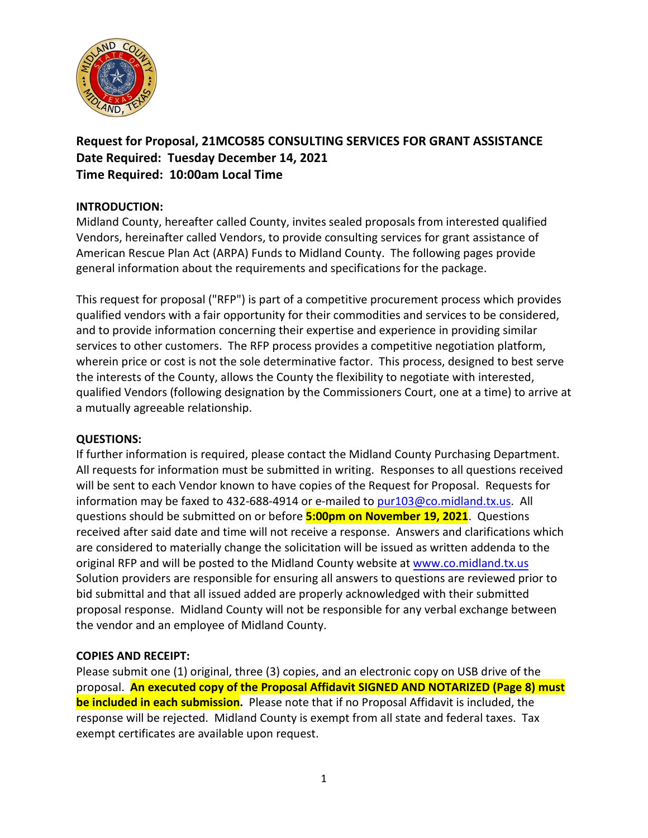

**Request for Proposal, 21MCO585 CONSULTING SERVICES FOR GRANT ASSISTANCE Date Required: Tuesday December 14, 2021 Time Required: 10:00am Local Time**

### **INTRODUCTION:**

Midland County, hereafter called County, invites sealed proposals from interested qualified Vendors, hereinafter called Vendors, to provide consulting services for grant assistance of American Rescue Plan Act (ARPA) Funds to Midland County. The following pages provide general information about the requirements and specifications for the package.

This request for proposal ("RFP") is part of a competitive procurement process which provides qualified vendors with a fair opportunity for their commodities and services to be considered, and to provide information concerning their expertise and experience in providing similar services to other customers. The RFP process provides a competitive negotiation platform, wherein price or cost is not the sole determinative factor. This process, designed to best serve the interests of the County, allows the County the flexibility to negotiate with interested, qualified Vendors (following designation by the Commissioners Court, one at a time) to arrive at a mutually agreeable relationship.

### **QUESTIONS:**

If further information is required, please contact the Midland County Purchasing Department. All requests for information must be submitted in writing. Responses to all questions received will be sent to each Vendor known to have copies of the Request for Proposal. Requests for information may be faxed to 432-688-4914 or e-mailed to [pur103@co.midland.tx.us.](mailto:pur103@co.midland.tx.us) All questions should be submitted on or before **5:00pm on November 19, 2021**. Questions received after said date and time will not receive a response. Answers and clarifications which are considered to materially change the solicitation will be issued as written addenda to the original RFP and will be posted to the Midland County website at [www.co.midland.tx.us](http://www.co.midland.tx.us/) Solution providers are responsible for ensuring all answers to questions are reviewed prior to bid submittal and that all issued added are properly acknowledged with their submitted proposal response. Midland County will not be responsible for any verbal exchange between the vendor and an employee of Midland County.

### **COPIES AND RECEIPT:**

Please submit one (1) original, three (3) copies, and an electronic copy on USB drive of the proposal. **An executed copy of the Proposal Affidavit SIGNED AND NOTARIZED (Page 8) must be included in each submission.** Please note that if no Proposal Affidavit is included, the response will be rejected. Midland County is exempt from all state and federal taxes. Tax exempt certificates are available upon request.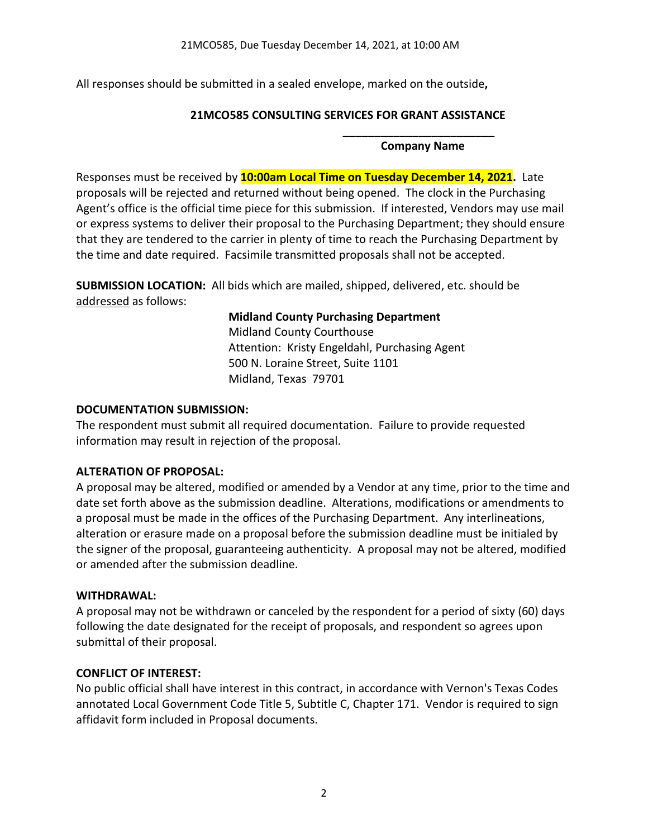All responses should be submitted in a sealed envelope, marked on the outside**,** 

### **21MCO585 CONSULTING SERVICES FOR GRANT ASSISTANCE**

#### **\_\_\_\_\_\_\_\_\_\_\_\_\_\_\_\_\_\_\_\_\_\_\_\_ Company Name**

Responses must be received by **10:00am Local Time on Tuesday December 14, 2021.** Late proposals will be rejected and returned without being opened. The clock in the Purchasing Agent's office is the official time piece for this submission. If interested, Vendors may use mail or express systems to deliver their proposal to the Purchasing Department; they should ensure that they are tendered to the carrier in plenty of time to reach the Purchasing Department by the time and date required. Facsimile transmitted proposals shall not be accepted.

**SUBMISSION LOCATION:** All bids which are mailed, shipped, delivered, etc. should be addressed as follows:

# **Midland County Purchasing Department**

Midland County Courthouse Attention: Kristy Engeldahl, Purchasing Agent 500 N. Loraine Street, Suite 1101 Midland, Texas 79701

### **DOCUMENTATION SUBMISSION:**

The respondent must submit all required documentation. Failure to provide requested information may result in rejection of the proposal.

## **ALTERATION OF PROPOSAL:**

A proposal may be altered, modified or amended by a Vendor at any time, prior to the time and date set forth above as the submission deadline. Alterations, modifications or amendments to a proposal must be made in the offices of the Purchasing Department. Any interlineations, alteration or erasure made on a proposal before the submission deadline must be initialed by the signer of the proposal, guaranteeing authenticity. A proposal may not be altered, modified or amended after the submission deadline.

## **WITHDRAWAL:**

A proposal may not be withdrawn or canceled by the respondent for a period of sixty (60) days following the date designated for the receipt of proposals, and respondent so agrees upon submittal of their proposal.

## **CONFLICT OF INTEREST:**

No public official shall have interest in this contract, in accordance with Vernon's Texas Codes annotated Local Government Code Title 5, Subtitle C, Chapter 171. Vendor is required to sign affidavit form included in Proposal documents.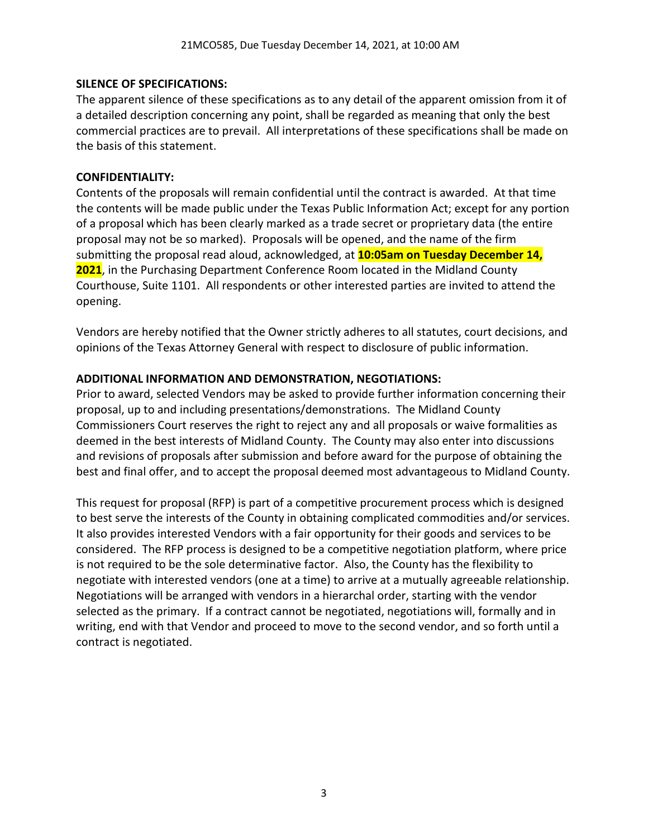### **SILENCE OF SPECIFICATIONS:**

The apparent silence of these specifications as to any detail of the apparent omission from it of a detailed description concerning any point, shall be regarded as meaning that only the best commercial practices are to prevail. All interpretations of these specifications shall be made on the basis of this statement.

### **CONFIDENTIALITY:**

Contents of the proposals will remain confidential until the contract is awarded. At that time the contents will be made public under the Texas Public Information Act; except for any portion of a proposal which has been clearly marked as a trade secret or proprietary data (the entire proposal may not be so marked). Proposals will be opened, and the name of the firm submitting the proposal read aloud, acknowledged, at **10:05am on Tuesday December 14, 2021**, in the Purchasing Department Conference Room located in the Midland County Courthouse, Suite 1101. All respondents or other interested parties are invited to attend the opening.

Vendors are hereby notified that the Owner strictly adheres to all statutes, court decisions, and opinions of the Texas Attorney General with respect to disclosure of public information.

### **ADDITIONAL INFORMATION AND DEMONSTRATION, NEGOTIATIONS:**

Prior to award, selected Vendors may be asked to provide further information concerning their proposal, up to and including presentations/demonstrations. The Midland County Commissioners Court reserves the right to reject any and all proposals or waive formalities as deemed in the best interests of Midland County. The County may also enter into discussions and revisions of proposals after submission and before award for the purpose of obtaining the best and final offer, and to accept the proposal deemed most advantageous to Midland County.

This request for proposal (RFP) is part of a competitive procurement process which is designed to best serve the interests of the County in obtaining complicated commodities and/or services. It also provides interested Vendors with a fair opportunity for their goods and services to be considered. The RFP process is designed to be a competitive negotiation platform, where price is not required to be the sole determinative factor. Also, the County has the flexibility to negotiate with interested vendors (one at a time) to arrive at a mutually agreeable relationship. Negotiations will be arranged with vendors in a hierarchal order, starting with the vendor selected as the primary. If a contract cannot be negotiated, negotiations will, formally and in writing, end with that Vendor and proceed to move to the second vendor, and so forth until a contract is negotiated.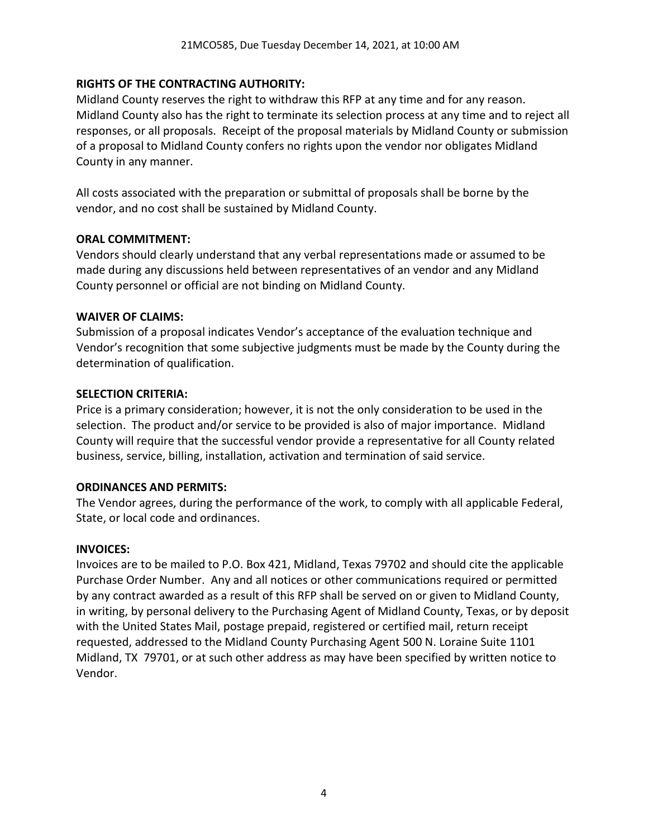### **RIGHTS OF THE CONTRACTING AUTHORITY:**

Midland County reserves the right to withdraw this RFP at any time and for any reason. Midland County also has the right to terminate its selection process at any time and to reject all responses, or all proposals. Receipt of the proposal materials by Midland County or submission of a proposal to Midland County confers no rights upon the vendor nor obligates Midland County in any manner.

All costs associated with the preparation or submittal of proposals shall be borne by the vendor, and no cost shall be sustained by Midland County.

### **ORAL COMMITMENT:**

Vendors should clearly understand that any verbal representations made or assumed to be made during any discussions held between representatives of an vendor and any Midland County personnel or official are not binding on Midland County.

### **WAIVER OF CLAIMS:**

Submission of a proposal indicates Vendor's acceptance of the evaluation technique and Vendor's recognition that some subjective judgments must be made by the County during the determination of qualification.

#### **SELECTION CRITERIA:**

Price is a primary consideration; however, it is not the only consideration to be used in the selection. The product and/or service to be provided is also of major importance. Midland County will require that the successful vendor provide a representative for all County related business, service, billing, installation, activation and termination of said service.

### **ORDINANCES AND PERMITS:**

The Vendor agrees, during the performance of the work, to comply with all applicable Federal, State, or local code and ordinances.

### **INVOICES:**

Invoices are to be mailed to P.O. Box 421, Midland, Texas 79702 and should cite the applicable Purchase Order Number. Any and all notices or other communications required or permitted by any contract awarded as a result of this RFP shall be served on or given to Midland County, in writing, by personal delivery to the Purchasing Agent of Midland County, Texas, or by deposit with the United States Mail, postage prepaid, registered or certified mail, return receipt requested, addressed to the Midland County Purchasing Agent 500 N. Loraine Suite 1101 Midland, TX 79701, or at such other address as may have been specified by written notice to Vendor.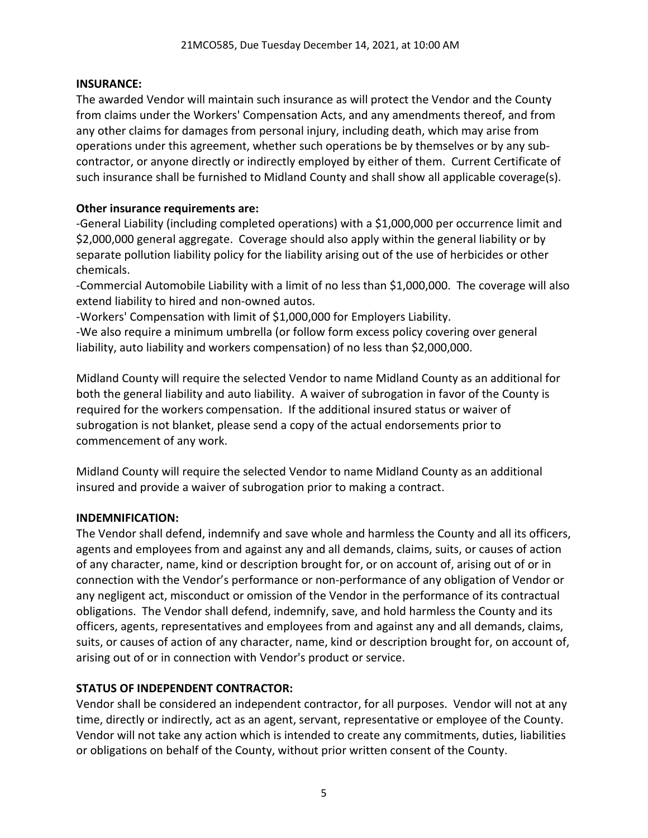### **INSURANCE:**

The awarded Vendor will maintain such insurance as will protect the Vendor and the County from claims under the Workers' Compensation Acts, and any amendments thereof, and from any other claims for damages from personal injury, including death, which may arise from operations under this agreement, whether such operations be by themselves or by any subcontractor, or anyone directly or indirectly employed by either of them. Current Certificate of such insurance shall be furnished to Midland County and shall show all applicable coverage(s).

### **Other insurance requirements are:**

-General Liability (including completed operations) with a \$1,000,000 per occurrence limit and \$2,000,000 general aggregate. Coverage should also apply within the general liability or by separate pollution liability policy for the liability arising out of the use of herbicides or other chemicals.

-Commercial Automobile Liability with a limit of no less than \$1,000,000. The coverage will also extend liability to hired and non-owned autos.

-Workers' Compensation with limit of \$1,000,000 for Employers Liability.

-We also require a minimum umbrella (or follow form excess policy covering over general liability, auto liability and workers compensation) of no less than \$2,000,000.

Midland County will require the selected Vendor to name Midland County as an additional for both the general liability and auto liability. A waiver of subrogation in favor of the County is required for the workers compensation. If the additional insured status or waiver of subrogation is not blanket, please send a copy of the actual endorsements prior to commencement of any work.

Midland County will require the selected Vendor to name Midland County as an additional insured and provide a waiver of subrogation prior to making a contract.

## **INDEMNIFICATION:**

The Vendor shall defend, indemnify and save whole and harmless the County and all its officers, agents and employees from and against any and all demands, claims, suits, or causes of action of any character, name, kind or description brought for, or on account of, arising out of or in connection with the Vendor's performance or non-performance of any obligation of Vendor or any negligent act, misconduct or omission of the Vendor in the performance of its contractual obligations. The Vendor shall defend, indemnify, save, and hold harmless the County and its officers, agents, representatives and employees from and against any and all demands, claims, suits, or causes of action of any character, name, kind or description brought for, on account of, arising out of or in connection with Vendor's product or service.

## **STATUS OF INDEPENDENT CONTRACTOR:**

Vendor shall be considered an independent contractor, for all purposes. Vendor will not at any time, directly or indirectly, act as an agent, servant, representative or employee of the County. Vendor will not take any action which is intended to create any commitments, duties, liabilities or obligations on behalf of the County, without prior written consent of the County.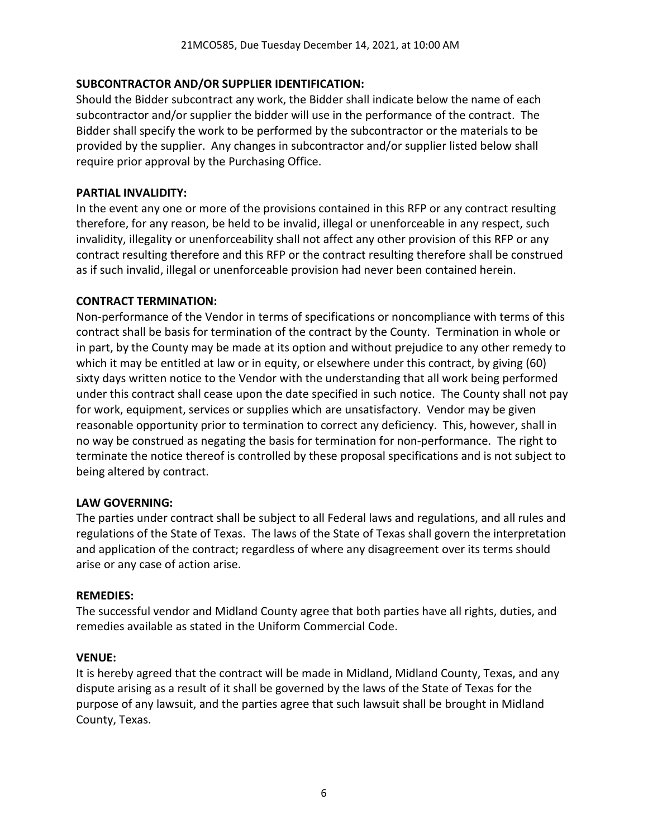### **SUBCONTRACTOR AND/OR SUPPLIER IDENTIFICATION:**

Should the Bidder subcontract any work, the Bidder shall indicate below the name of each subcontractor and/or supplier the bidder will use in the performance of the contract. The Bidder shall specify the work to be performed by the subcontractor or the materials to be provided by the supplier. Any changes in subcontractor and/or supplier listed below shall require prior approval by the Purchasing Office.

### **PARTIAL INVALIDITY:**

In the event any one or more of the provisions contained in this RFP or any contract resulting therefore, for any reason, be held to be invalid, illegal or unenforceable in any respect, such invalidity, illegality or unenforceability shall not affect any other provision of this RFP or any contract resulting therefore and this RFP or the contract resulting therefore shall be construed as if such invalid, illegal or unenforceable provision had never been contained herein.

### **CONTRACT TERMINATION:**

Non-performance of the Vendor in terms of specifications or noncompliance with terms of this contract shall be basis for termination of the contract by the County. Termination in whole or in part, by the County may be made at its option and without prejudice to any other remedy to which it may be entitled at law or in equity, or elsewhere under this contract, by giving (60) sixty days written notice to the Vendor with the understanding that all work being performed under this contract shall cease upon the date specified in such notice. The County shall not pay for work, equipment, services or supplies which are unsatisfactory. Vendor may be given reasonable opportunity prior to termination to correct any deficiency. This, however, shall in no way be construed as negating the basis for termination for non-performance. The right to terminate the notice thereof is controlled by these proposal specifications and is not subject to being altered by contract.

### **LAW GOVERNING:**

The parties under contract shall be subject to all Federal laws and regulations, and all rules and regulations of the State of Texas. The laws of the State of Texas shall govern the interpretation and application of the contract; regardless of where any disagreement over its terms should arise or any case of action arise.

### **REMEDIES:**

The successful vendor and Midland County agree that both parties have all rights, duties, and remedies available as stated in the Uniform Commercial Code.

### **VENUE:**

It is hereby agreed that the contract will be made in Midland, Midland County, Texas, and any dispute arising as a result of it shall be governed by the laws of the State of Texas for the purpose of any lawsuit, and the parties agree that such lawsuit shall be brought in Midland County, Texas.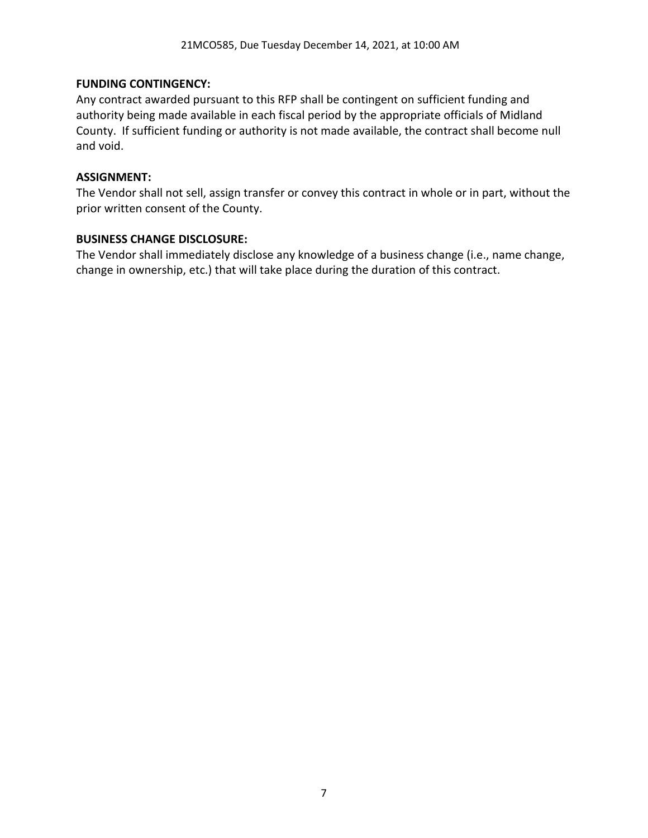### **FUNDING CONTINGENCY:**

Any contract awarded pursuant to this RFP shall be contingent on sufficient funding and authority being made available in each fiscal period by the appropriate officials of Midland County. If sufficient funding or authority is not made available, the contract shall become null and void.

### **ASSIGNMENT:**

The Vendor shall not sell, assign transfer or convey this contract in whole or in part, without the prior written consent of the County.

### **BUSINESS CHANGE DISCLOSURE:**

The Vendor shall immediately disclose any knowledge of a business change (i.e., name change, change in ownership, etc.) that will take place during the duration of this contract.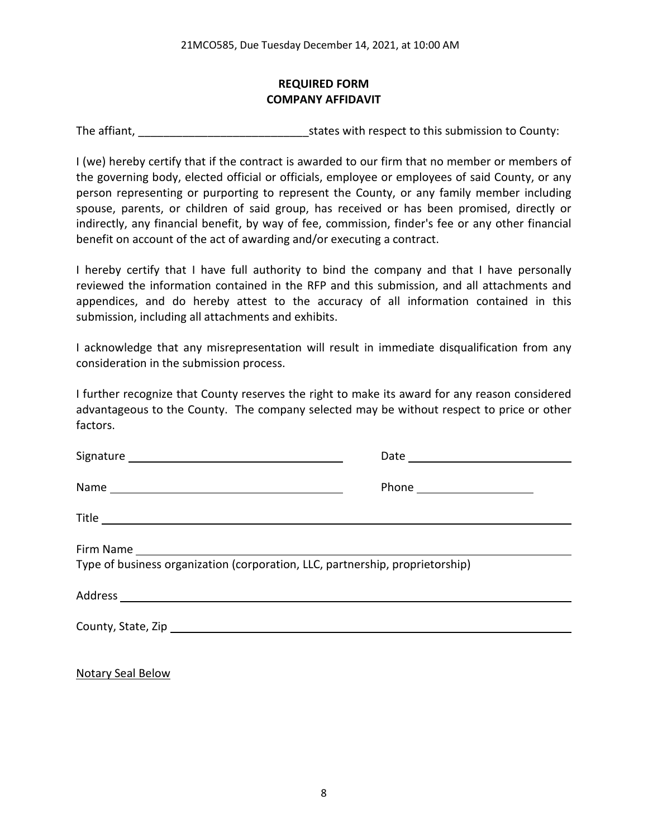## **REQUIRED FORM COMPANY AFFIDAVIT**

The affiant, The affiant, The affiant,  $\frac{1}{2}$  states with respect to this submission to County:

I (we) hereby certify that if the contract is awarded to our firm that no member or members of the governing body, elected official or officials, employee or employees of said County, or any person representing or purporting to represent the County, or any family member including spouse, parents, or children of said group, has received or has been promised, directly or indirectly, any financial benefit, by way of fee, commission, finder's fee or any other financial benefit on account of the act of awarding and/or executing a contract.

I hereby certify that I have full authority to bind the company and that I have personally reviewed the information contained in the RFP and this submission, and all attachments and appendices, and do hereby attest to the accuracy of all information contained in this submission, including all attachments and exhibits.

I acknowledge that any misrepresentation will result in immediate disqualification from any consideration in the submission process.

I further recognize that County reserves the right to make its award for any reason considered advantageous to the County. The company selected may be without respect to price or other factors.

| Type of business organization (corporation, LLC, partnership, proprietorship) |  |  |
|-------------------------------------------------------------------------------|--|--|
|                                                                               |  |  |
|                                                                               |  |  |
|                                                                               |  |  |

Notary Seal Below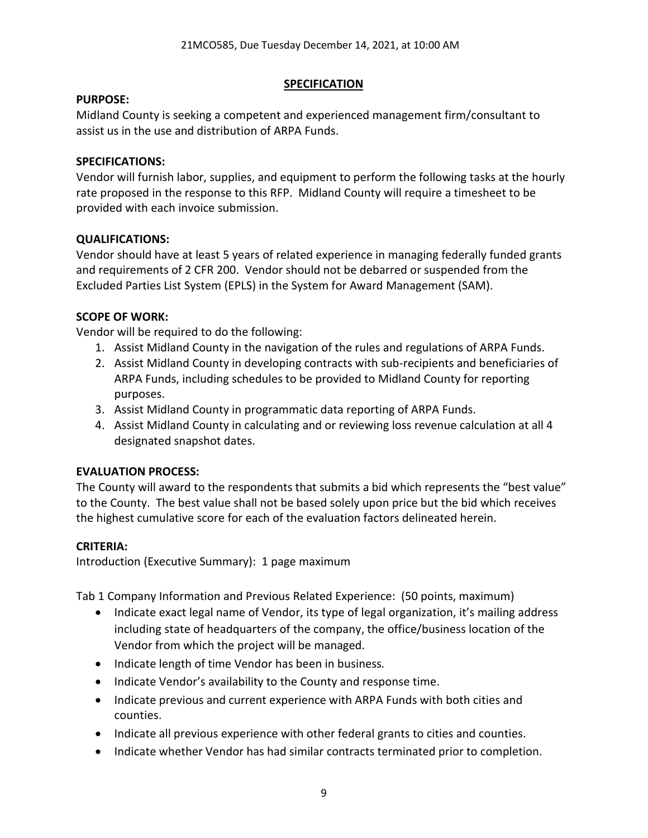### **SPECIFICATION**

### **PURPOSE:**

Midland County is seeking a competent and experienced management firm/consultant to assist us in the use and distribution of ARPA Funds.

### **SPECIFICATIONS:**

Vendor will furnish labor, supplies, and equipment to perform the following tasks at the hourly rate proposed in the response to this RFP. Midland County will require a timesheet to be provided with each invoice submission.

## **QUALIFICATIONS:**

Vendor should have at least 5 years of related experience in managing federally funded grants and requirements of 2 CFR 200. Vendor should not be debarred or suspended from the Excluded Parties List System (EPLS) in the System for Award Management (SAM).

## **SCOPE OF WORK:**

Vendor will be required to do the following:

- 1. Assist Midland County in the navigation of the rules and regulations of ARPA Funds.
- 2. Assist Midland County in developing contracts with sub-recipients and beneficiaries of ARPA Funds, including schedules to be provided to Midland County for reporting purposes.
- 3. Assist Midland County in programmatic data reporting of ARPA Funds.
- 4. Assist Midland County in calculating and or reviewing loss revenue calculation at all 4 designated snapshot dates.

## **EVALUATION PROCESS:**

The County will award to the respondents that submits a bid which represents the "best value" to the County. The best value shall not be based solely upon price but the bid which receives the highest cumulative score for each of the evaluation factors delineated herein.

## **CRITERIA:**

Introduction (Executive Summary): 1 page maximum

Tab 1 Company Information and Previous Related Experience: (50 points, maximum)

- Indicate exact legal name of Vendor, its type of legal organization, it's mailing address including state of headquarters of the company, the office/business location of the Vendor from which the project will be managed.
- Indicate length of time Vendor has been in business.
- Indicate Vendor's availability to the County and response time.
- Indicate previous and current experience with ARPA Funds with both cities and counties.
- Indicate all previous experience with other federal grants to cities and counties.
- Indicate whether Vendor has had similar contracts terminated prior to completion.